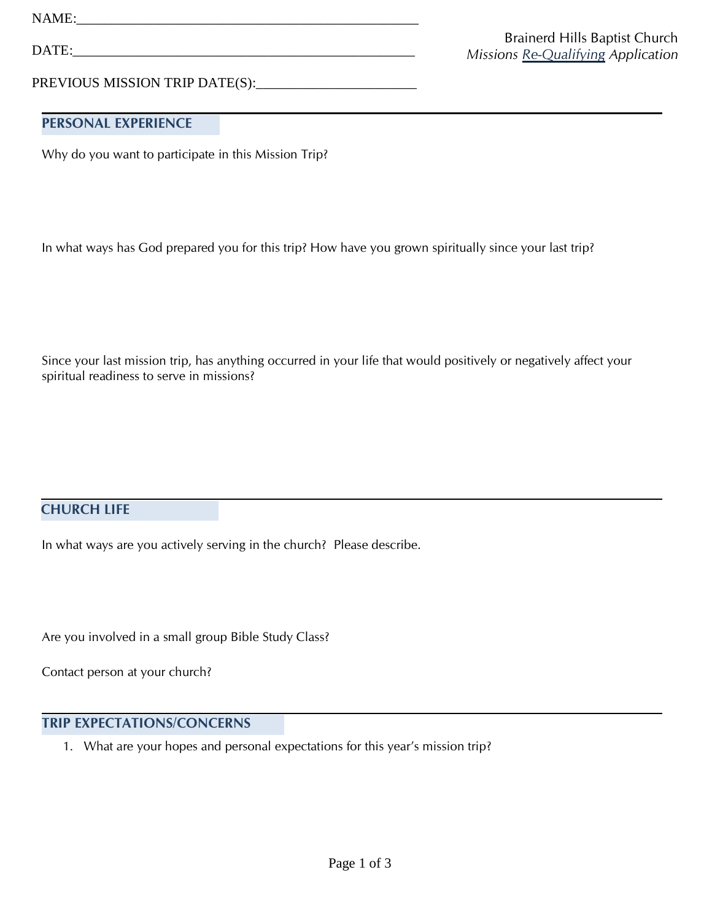NAME:\_\_\_\_\_\_\_\_\_\_\_\_\_\_\_\_\_\_\_\_\_\_\_\_\_\_\_\_\_\_\_\_\_\_\_\_\_\_\_\_\_\_\_\_\_\_\_\_\_

DATE:\_\_\_\_\_\_\_\_\_\_\_\_\_\_\_\_\_\_\_\_\_\_\_\_\_\_\_\_\_\_\_\_\_\_\_\_\_\_\_\_\_\_\_\_\_\_\_\_\_

PREVIOUS MISSION TRIP DATE(S):\_\_\_\_\_\_\_\_\_\_\_\_\_\_\_\_\_\_\_\_\_\_\_

## **PERSONAL EXPERIENCE**

Why do you want to participate in this Mission Trip?

In what ways has God prepared you for this trip? How have you grown spiritually since your last trip?

Since your last mission trip, has anything occurred in your life that would positively or negatively affect your spiritual readiness to serve in missions?

## **CHURCH LIFE**

In what ways are you actively serving in the church? Please describe.

Are you involved in a small group Bible Study Class?

Contact person at your church?

## **TRIP EXPECTATIONS/CONCERNS**

1. What are your hopes and personal expectations for this year's mission trip?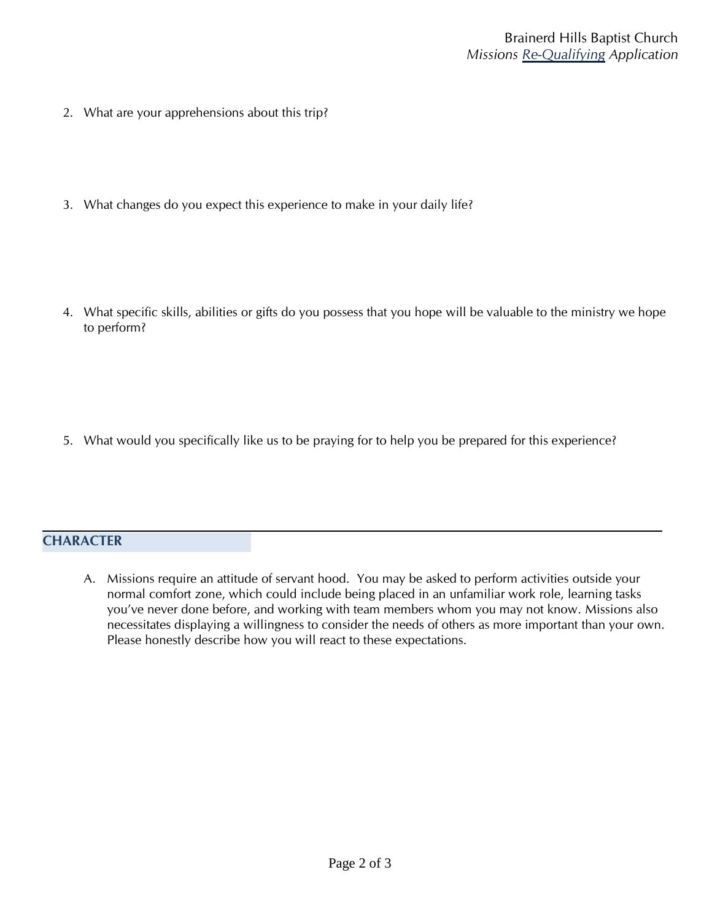- 2. What are your apprehensions about this trip?
- 3. What changes do you expect this experience to make in your daily life?
- 4. What specific skills, abilities or gifts do you possess that you hope will be valuable to the ministry we hope to perform?

5. What would you specifically like us to be praying for to help you be prepared for this experience?

## **CHARACTER**

A. Missions require an attitude of servant hood. You may be asked to perform activities outside your normal comfort zone, which could include being placed in an unfamiliar work role, learning tasks you've never done before, and working with team members whom you may not know. Missions also necessitates displaying a willingness to consider the needs of others as more important than your own. Please honestly describe how you will react to these expectations.